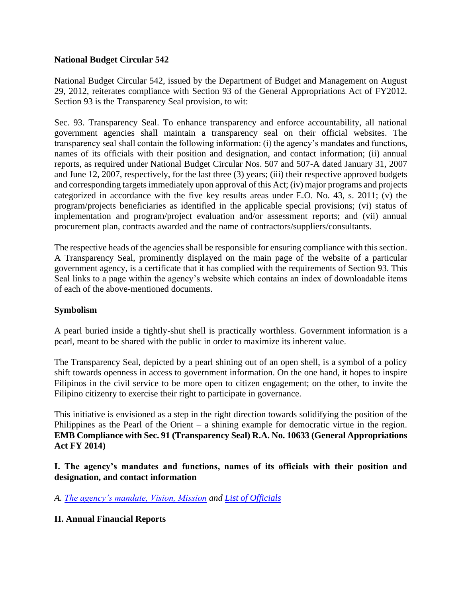#### **National Budget Circular 542**

National Budget Circular 542, issued by the Department of Budget and Management on August 29, 2012, reiterates compliance with Section 93 of the General Appropriations Act of FY2012. Section 93 is the Transparency Seal provision, to wit:

Sec. 93. Transparency Seal. To enhance transparency and enforce accountability, all national government agencies shall maintain a transparency seal on their official websites. The transparency seal shall contain the following information: (i) the agency's mandates and functions, names of its officials with their position and designation, and contact information; (ii) annual reports, as required under National Budget Circular Nos. 507 and 507-A dated January 31, 2007 and June 12, 2007, respectively, for the last three (3) years; (iii) their respective approved budgets and corresponding targets immediately upon approval of this Act; (iv) major programs and projects categorized in accordance with the five key results areas under E.O. No. 43, s. 2011; (v) the program/projects beneficiaries as identified in the applicable special provisions; (vi) status of implementation and program/project evaluation and/or assessment reports; and (vii) annual procurement plan, contracts awarded and the name of contractors/suppliers/consultants.

The respective heads of the agencies shall be responsible for ensuring compliance with this section. A Transparency Seal, prominently displayed on the main page of the website of a particular government agency, is a certificate that it has complied with the requirements of Section 93. This Seal links to a page within the agency's website which contains an index of downloadable items of each of the above-mentioned documents.

#### **Symbolism**

A pearl buried inside a tightly-shut shell is practically worthless. Government information is a pearl, meant to be shared with the public in order to maximize its inherent value.

The Transparency Seal, depicted by a pearl shining out of an open shell, is a symbol of a policy shift towards openness in access to government information. On the one hand, it hopes to inspire Filipinos in the civil service to be more open to citizen engagement; on the other, to invite the Filipino citizenry to exercise their right to participate in governance.

This initiative is envisioned as a step in the right direction towards solidifying the position of the Philippines as the Pearl of the Orient – a shining example for democratic virtue in the region. **EMB Compliance with Sec. 91 (Transparency Seal) R.A. No. 10633 (General Appropriations Act FY 2014)**

**I. The agency's mandates and functions, names of its officials with their position and designation, and contact information**

*A. [The agency's mandate, Vision, Mission](http://emb.gov.ph/?page_id=781) and [List of Officials](http://emb.gov.ph/?page_id=960)*

## **II. Annual Financial Reports**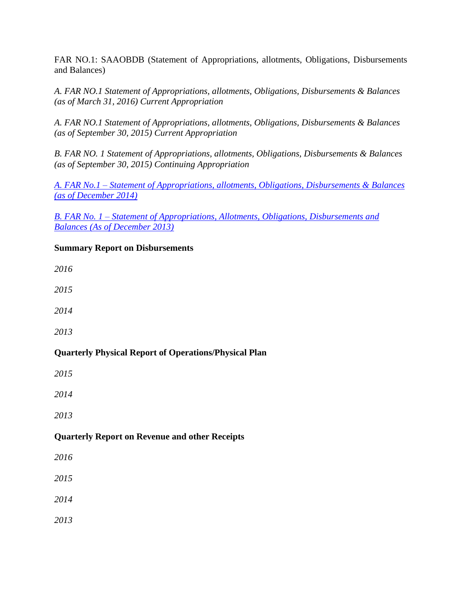FAR NO.1: SAAOBDB (Statement of Appropriations, allotments, Obligations, Disbursements and Balances)

*[A. FAR NO.1 Statement of Appropriations, allotments, Obligations, Disbursements & Balances](http://emb.gov.ph/wp-content/uploads/2016/05/FAR-NO.1-AS-OF-MARCH-31-2016.pdf)  [\(as of March 31, 2016\)](http://emb.gov.ph/wp-content/uploads/2016/05/FAR-NO.1-AS-OF-MARCH-31-2016.pdf) [Current Appropriation](http://emb.gov.ph/wp-content/uploads/2016/05/FAR-NO.1-AS-OF-MARCH-31-2016.pdf)*

*[A. FAR NO.1 Statement of Appropriations, allotments, Obligations, Disbursements & Balances](http://emb.gov.ph/wp-content/uploads/2015/12/2015-FAR-NO-1-CURRENT.pdf)  [\(as of September 30, 2015\)](http://emb.gov.ph/wp-content/uploads/2015/12/2015-FAR-NO-1-CURRENT.pdf) [Current Appropriation](http://emb.gov.ph/wp-content/uploads/2016/05/FAR-NO.1-AS-OF-MARCH-31-2016.pdf)*

*[B. FAR NO. 1 Statement of Appropriations, allotments, Obligations, Disbursements & Balances](http://emb.gov.ph/wp-content/uploads/2015/12/2015-FAR-NO-1.pdf)  [\(as of September 30, 2015\) Continuing Appropriation](http://emb.gov.ph/wp-content/uploads/2015/12/2015-FAR-NO-1.pdf)*

*A. FAR No.1 – [Statement of Appropriations, allotments, Obligations, Disbursements & Balances](http://emb.gov.ph/wp-content/uploads/2016/01/Transparency-Seal-FAR-1.pdf)  [\(as of December 2014\)](http://emb.gov.ph/wp-content/uploads/2016/01/Transparency-Seal-FAR-1.pdf)*

*B. FAR No. 1 – [Statement of Appropriations, Allotments, Obligations, Disbursements and](http://emb.gov.ph/wp-content/uploads/2016/01/Statement-of-Appropriation-Dec.2013.pdf)  Balances (As [of December 2013\)](http://emb.gov.ph/wp-content/uploads/2016/01/Statement-of-Appropriation-Dec.2013.pdf)*

## **Summary Report on Disbursements**

*[2016](http://emb.gov.ph/wp-content/uploads/2016/05/FAR-NO.1-A-AS-OF-MARCH-31-2016.pdf)*

*[2015](http://emb.gov.ph/wp-content/uploads/2015/11/FAR-NO.1-A-JUNE-30-2015-CONTINUING-APPROPRIATION.pdf)* 

*[2014](http://emb.gov.ph/wp-content/uploads/2015/12/FAR-1-A1-2014.pdf)*

*[2013](http://emb.gov.ph/wp-content/uploads/2016/03/Summary-of-Prior-Years-ObligationsDecember-20131.pdf)*

## **Quarterly Physical Report of Operations/Physical Plan**

*[2015](http://emb.gov.ph/wp-content/uploads/2015/12/Copy-of-Copy-of-APR-as-of-3rd-qtr-oct191.pdf)* 

*[2014](http://emb.gov.ph/wp-content/uploads/2015/11/ANNUAL-performance-review2014_DBM-Matrix-as-of-sept-2014..pdf)*

*[2013](http://emb.gov.ph/wp-content/uploads/2016/03/Physical-Performance-Report-2013.pdf)*

## **Quarterly Report on Revenue and other Receipts**

*[2016](http://emb.gov.ph/wp-content/uploads/2016/07/FAR-NO.5-AS-OF-MARCH-31-2016.pdf)*

*[2015](http://emb.gov.ph/wp-content/uploads/2015/12/Consolidated-Quarterly-Report-if-Revenue-and-other-as-of-Quarter-Ending-September-30-2015.pdf)*

*[2014](http://emb.gov.ph/wp-content/uploads/2016/03/FAR-5-as-of-dec.pdf)*

*[2013](http://emb.gov.ph/wp-content/uploads/2015/12/Consolidated-Quarterly-Report-of-Actual-Income-2013.pdf)*